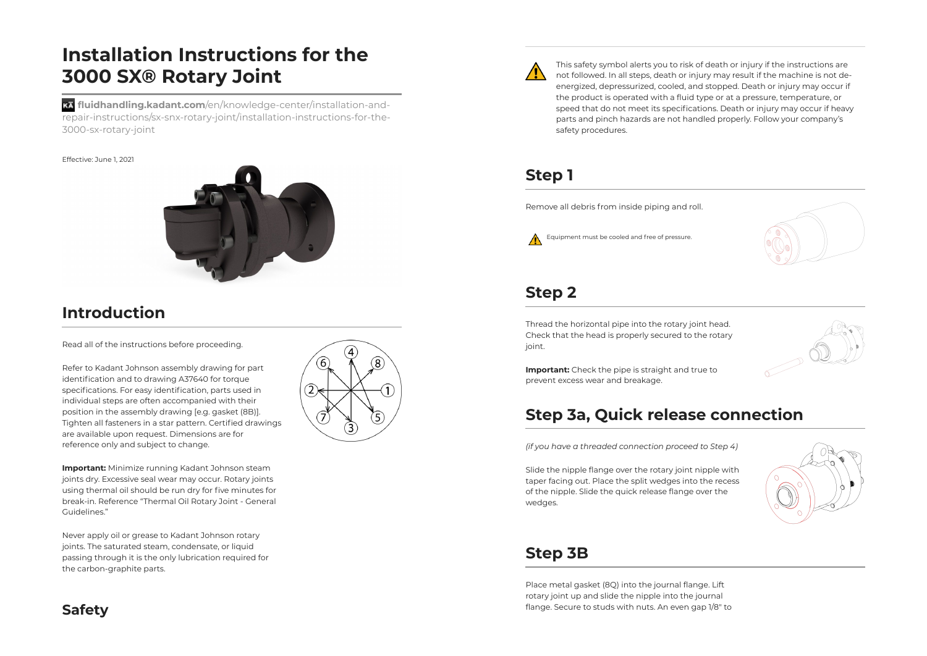# **Installation Instructions for the 3000 SX® Rotary Joint**

**fluidhandling.kadant.com**/en/knowledge-center/installation-andrepair-instructions/sx-snx-rotary-joint/installation-instructions-for-the-3000-sx-rotary-joint

#### Effective: June 1, 2021



## **Introduction**

Read all of the instructions before proceeding.

Refer to Kadant Johnson assembly drawing for part identification and to drawing A37640 for torque specifications. For easy identification, parts used in individual steps are often accompanied with their position in the assembly drawing [e.g. gasket (8B)]. Tighten all fasteners in a star pattern. Certified drawings are available upon request. Dimensions are for reference only and subject to change.

**Important:** Minimize running Kadant Johnson steam joints dry. Excessive seal wear may occur. Rotary joints using thermal oil should be run dry for five minutes for break-in. Reference "Thermal Oil Rotary Joint - General Guidelines."

Never apply oil or grease to Kadant Johnson rotary joints. The saturated steam, condensate, or liquid passing through it is the only lubrication required for the carbon-graphite parts.





This safety symbol alerts you to risk of death or injury if the instructions are not followed. In all steps, death or injury may result if the machine is not deenergized, depressurized, cooled, and stopped. Death or injury may occur if the product is operated with a fluid type or at a pressure, temperature, or speed that do not meet its specifications. Death or injury may occur if heavy parts and pinch hazards are not handled properly. Follow your company's safety procedures.

## **Step 1**

Remove all debris from inside piping and roll.





#### **Step 2**

Thread the horizontal pipe into the rotary joint head. Check that the head is properly secured to the rotary joint.



**Important:** Check the pipe is straight and true to prevent excess wear and breakage.

## **Step 3a, Quick release connection**

*(if you have a threaded connection proceed to Step 4)*

Slide the nipple flange over the rotary joint nipple with taper facing out. Place the split wedges into the recess of the nipple. Slide the quick release flange over the wedges.



## **Step 3B**

Place metal gasket (8Q) into the journal flange. Lift rotary joint up and slide the nipple into the journal flange. Secure to studs with nuts. An even gap 1/8" to

## **Safety**